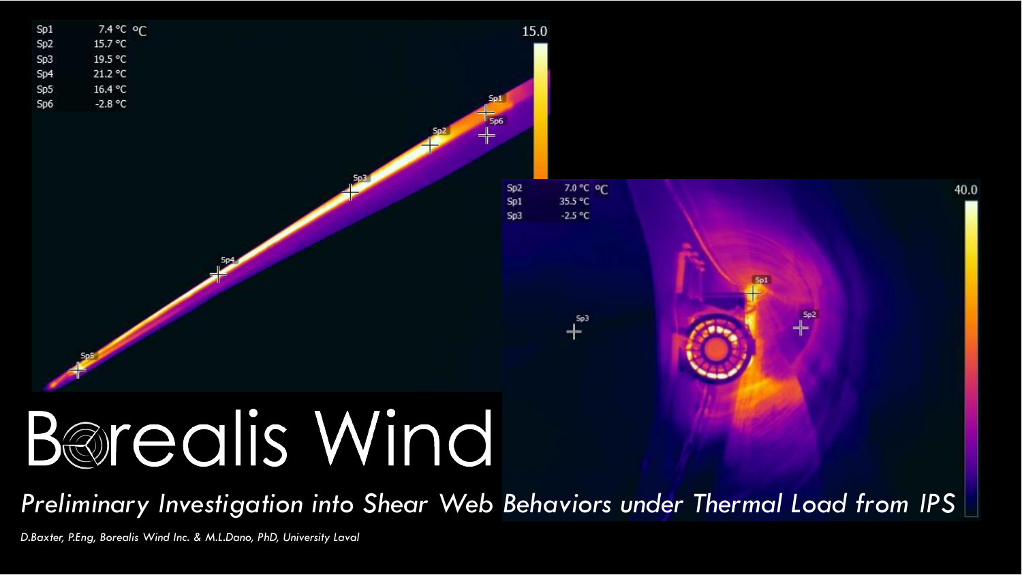

# B@realis Wind

*Preliminary Investigation into Shear Web Behaviors under Thermal Load from IPS*

*D.Baxter, P.Eng, Borealis Wind Inc. & M.L.Dano, PhD, University Laval*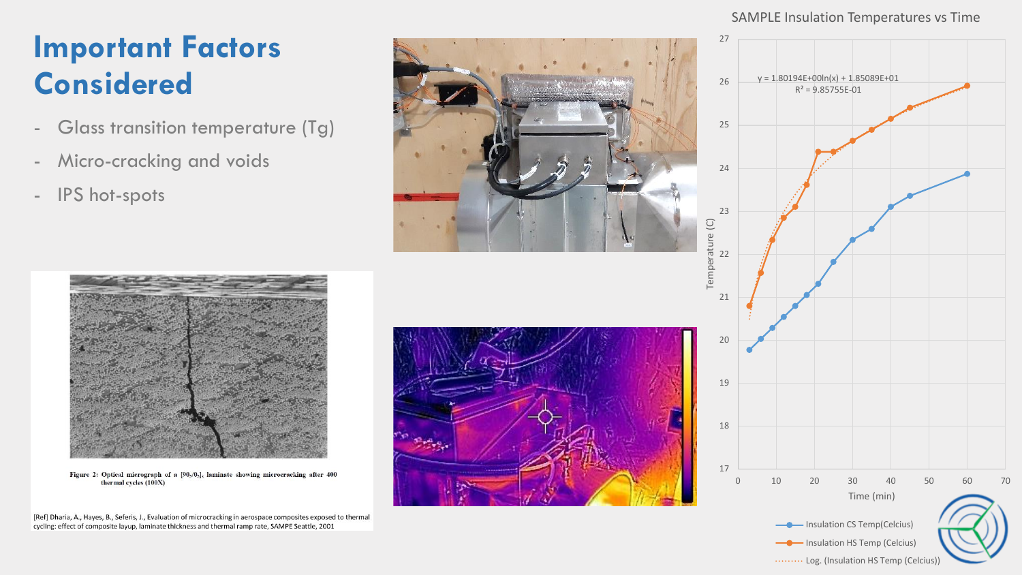### **Important Factors Considered**

- Glass transition temperature (Tg)
- Micro-cracking and voids
- IPS hot-spots



#### SAMPLE Insulation Temperatures vs Time





Figure 2: Optical micrograph of a [90<sub>5</sub>/0<sub>5</sub>], laminate showing microcracking after 400 thermal cycles (100X)

[Ref] Dharia, A., Hayes, B., Seferis, J., Evaluation of microcracking in aerospace composites exposed to thermal cycling: effect of composite layup, laminate thickness and thermal ramp rate, SAMPE Seattle, 2001

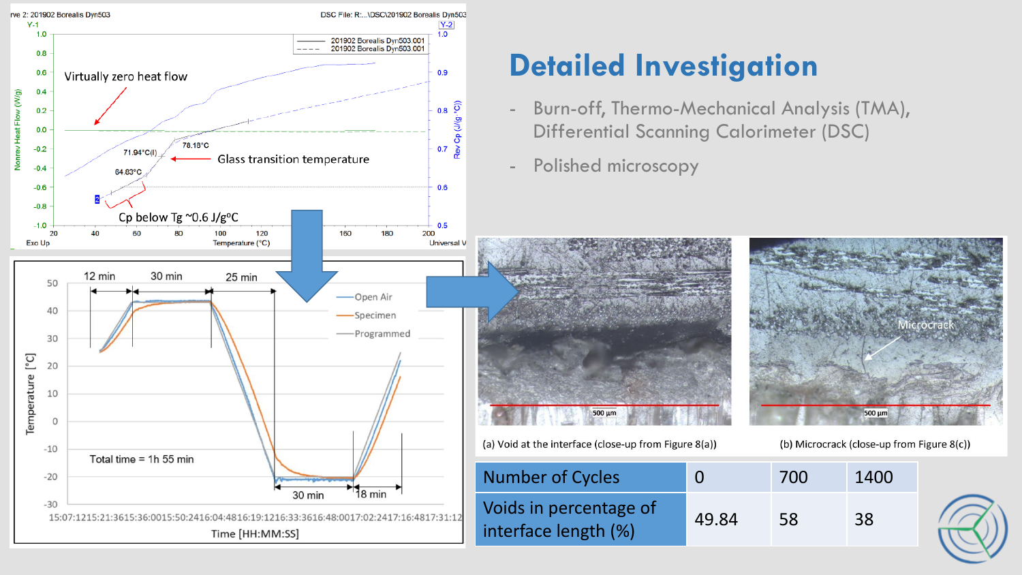

#### **Detailed Investigation**

- Burn-off, Thermo-Mechanical Analysis (TMA), Differential Scanning Calorimeter (DSC)
- Polished microscopy



*Alcrocrac* 500 µm

(b) Microcrack (close-up from Figure 8(c))

(a) Void at the interface (close-up from Figure 8(a))

| <b>Number of Cycles</b>                        | 0     | 700 | 1400 |
|------------------------------------------------|-------|-----|------|
| Voids in percentage of<br>interface length (%) | 49.84 | 58  | 38   |

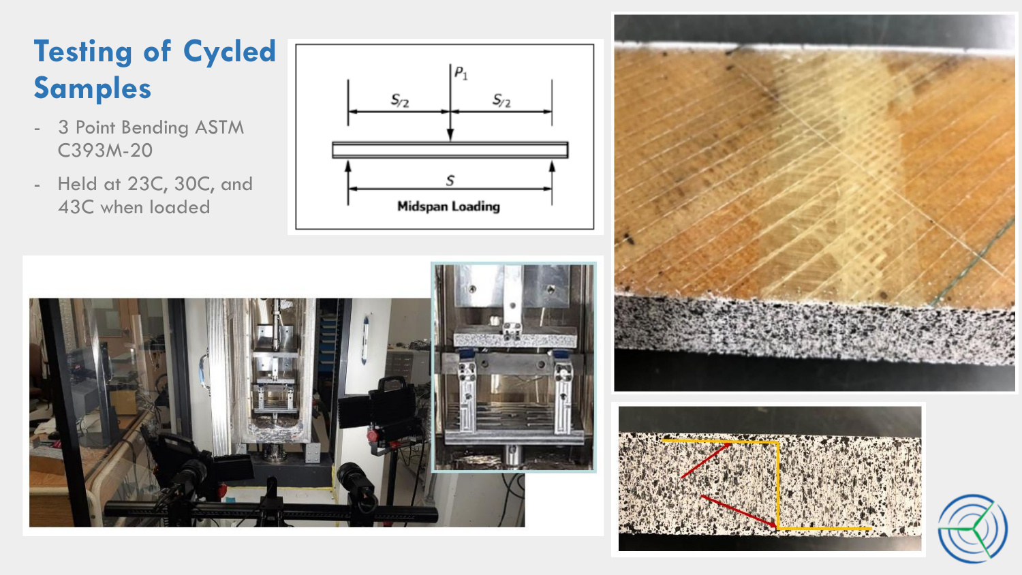## **Testing of Cycled Samples**

- 3 Point Bending ASTM C393M-20
- Held at 23C, 30C, and 43C when loaded